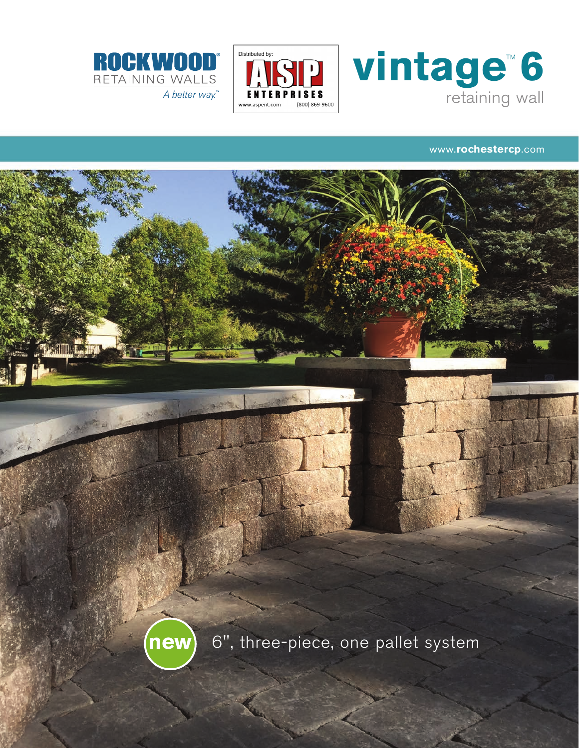





## www.rochestercp.com

6", three-piece, one pallet system new